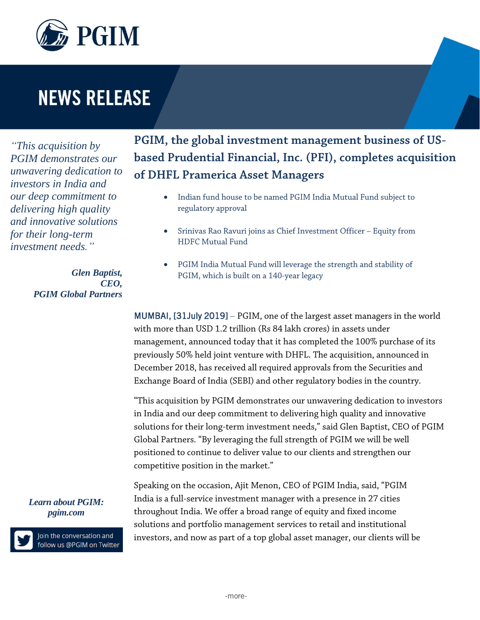

## **NEWS RELEASE**

*"This acquisition by PGIM demonstrates our unwavering dedication to investors in India and our deep commitment to delivering high quality and innovative solutions for their long-term investment needs."* 

> *Glen Baptist, CEO, PGIM Global Partners*

**PGIM, the global investment management business of USbased Prudential Financial, Inc. (PFI), completes acquisition of DHFL Pramerica Asset Managers**

- Indian fund house to be named PGIM India Mutual Fund subject to regulatory approval
- Srinivas Rao Ravuri joins as Chief Investment Officer Equity from HDFC Mutual Fund
- PGIM India Mutual Fund will leverage the strength and stability of PGIM, which is built on a 140-year legacy

MUMBAI, [31July 2019] – PGIM, one of the largest asset managers in the world with more than USD 1.2 trillion (Rs 84 lakh crores) in assets under management, announced today that it has completed the 100% purchase of its previously 50% held joint venture with DHFL. The acquisition, announced in December 2018, has received all required approvals from the Securities and Exchange Board of India (SEBI) and other regulatory bodies in the country.

"This acquisition by PGIM demonstrates our unwavering dedication to investors in India and our deep commitment to delivering high quality and innovative solutions for their long-term investment needs," said Glen Baptist, CEO of PGIM Global Partners. "By leveraging the full strength of PGIM we will be well positioned to continue to deliver value to our clients and strengthen our competitive position in the market."

Speaking on the occasion, Ajit Menon, CEO of PGIM India, said, "PGIM India is a full-service investment manager with a presence in 27 cities throughout India. We offer a broad range of equity and fixed income solutions and portfolio management services to retail and institutional investors, and now as part of a top global asset manager, our clients will be

*Learn about PGIM: [pgim.com](http://www.pgim.com/)*



Join the conversation and follow us @PGIM on Twitter